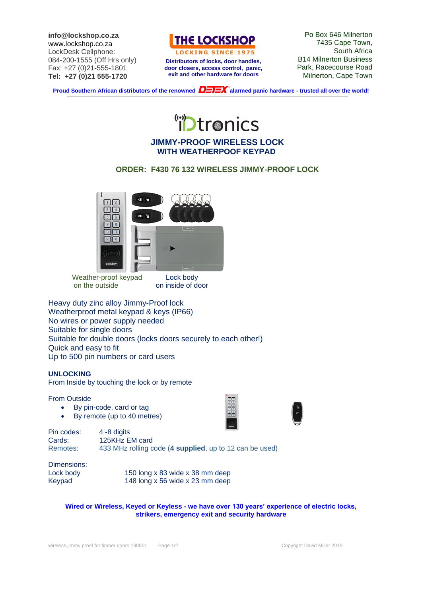**info@lockshop.co.za** www.lockshop.co.za LockDesk Cellphone: 084-200-1555 (Off Hrs only) Fax: +27 (0)21-555-1801 **Tel: +27 (0)21 555-1720**



**Distributors of locks, door handles, door closers, access control, panic, exit and other hardware for doors**

Po Box 646 Milnerton 7435 Cape Town, South Africa B14 Milnerton Business Park, Racecourse Road Milnerton, Cape Town

**Proud Southern African distributors of the renowned**  $\overline{D}$  **alarmed panic hardware - trusted all over the world!** 

# **iptronics**

### **JIMMY-PROOF WIRELESS LOCK WITH WEATHERPOOF KEYPAD**

#### **ORDER: F430 76 132 WIRELESS JIMMY-PROOF LOCK**



Weather-proof keypad Lock body on the outside on inside of door

Heavy duty zinc alloy Jimmy-Proof lock Weatherproof metal keypad & keys (IP66) No wires or power supply needed Suitable for single doors Suitable for double doors (locks doors securely to each other!) Quick and easy to fit Up to 500 pin numbers or card users

#### **UNLOCKING**

From Inside by touching the lock or by remote

#### From Outside

- By pin-code, card or tag
- By remote (up to 40 metres)





Pin codes: 4 -8 digits<br>Cards: 125KHz F 125KHz EM card Remotes: 433 MHz rolling code (**4 supplied**, up to 12 can be used)

Dimensions:

Lock body 150 long x 83 wide x 38 mm deep Keypad 148 long x 56 wide x 23 mm deep

**Wired or Wireless, Keyed or Keyless - we have over 130 years' experience of electric locks, strikers, emergency exit and security hardware**